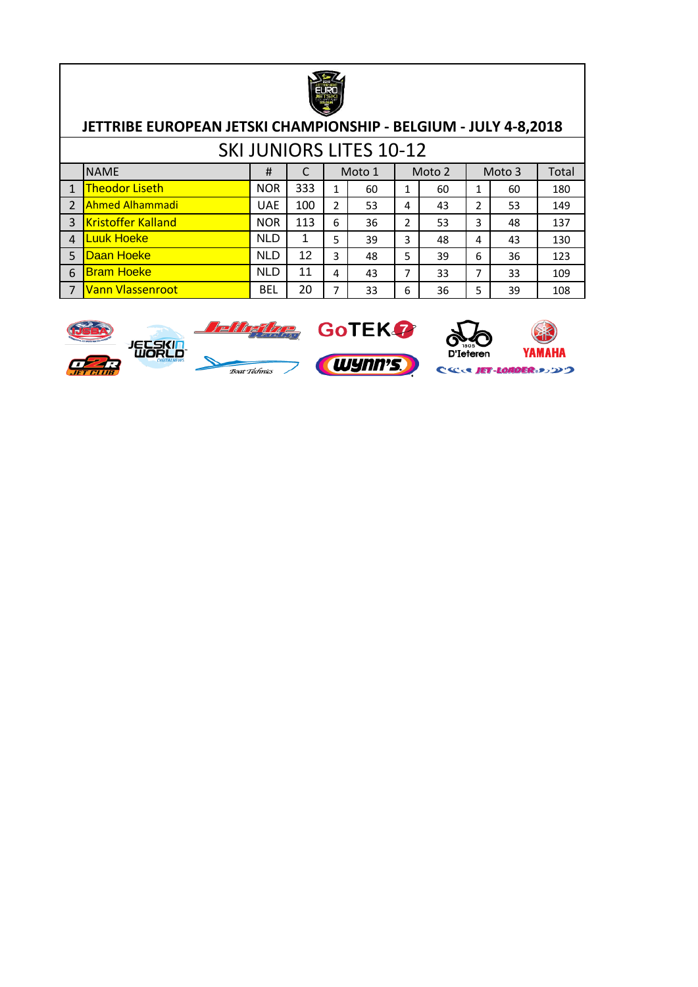

|                |                                                                              |            |     |   | <b>SKI JUNIORS LITES 10-12</b> |   |        |   |        |       |  |
|----------------|------------------------------------------------------------------------------|------------|-----|---|--------------------------------|---|--------|---|--------|-------|--|
|                | <b>NAME</b>                                                                  | #          |     |   | Moto 1                         |   | Moto 2 |   | Moto 3 | Total |  |
|                | <b>Theodor Liseth</b>                                                        | <b>NOR</b> | 333 | 1 | 60                             | 1 | 60     | 1 | 60     | 180   |  |
|                | Ahmed Alhammadi                                                              | <b>UAE</b> | 100 | 2 | 53                             | 4 | 43     | 2 | 53     | 149   |  |
| 3              | <b>Kristoffer Kalland</b>                                                    | <b>NOR</b> | 113 | 6 | 36                             | 2 | 53     | 3 | 48     | 137   |  |
| $\overline{4}$ | Luuk Hoeke                                                                   | <b>NLD</b> |     | 5 | 39                             | 3 | 48     | 4 | 43     | 130   |  |
|                | Daan Hoeke                                                                   | <b>NLD</b> | 12  | 3 | 48                             | 5 | 39     | 6 | 36     | 123   |  |
| 6              | <b>Bram Hoeke</b>                                                            | <b>NLD</b> | 11  | 4 | 43                             | 7 | 33     | 7 | 33     | 109   |  |
|                | <b>BEL</b><br>20<br>Vann Vlassenroot<br>6<br>5<br>108<br>⇁<br>33<br>36<br>39 |            |     |   |                                |   |        |   |        |       |  |



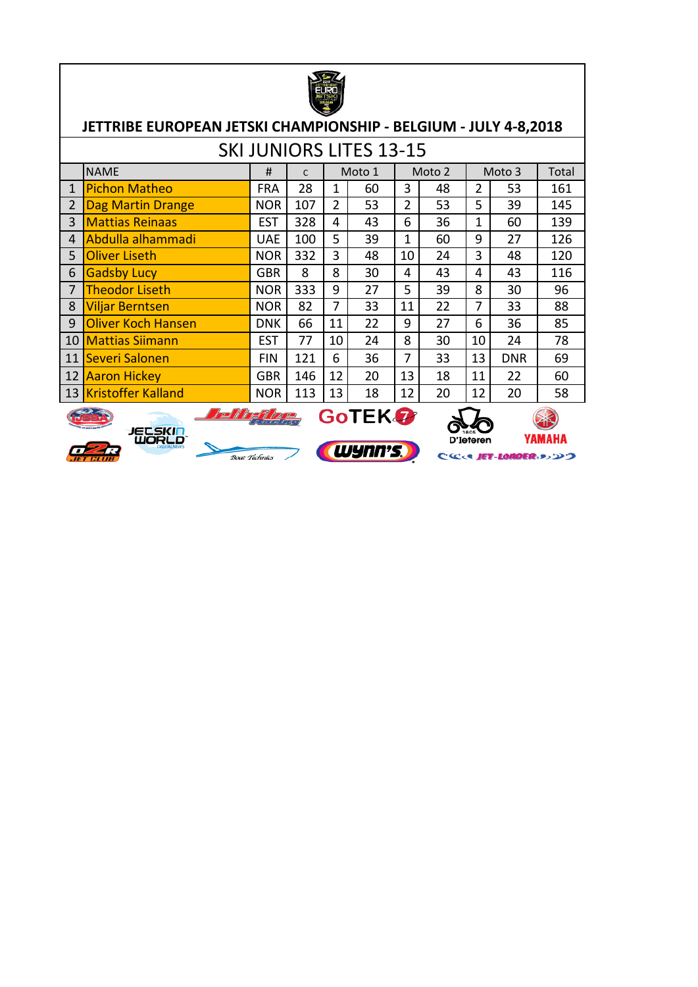|                                                                                                                                   | JETTRIBE EUROPEAN JETSKI CHAMPIONSHIP - BELGIUM - JULY 4-8,2018                               |            |              |    |        |    |        |    |            |       |  |  |  |  |
|-----------------------------------------------------------------------------------------------------------------------------------|-----------------------------------------------------------------------------------------------|------------|--------------|----|--------|----|--------|----|------------|-------|--|--|--|--|
|                                                                                                                                   | <b>SKI JUNIORS LITES 13-15</b>                                                                |            |              |    |        |    |        |    |            |       |  |  |  |  |
|                                                                                                                                   | <b>NAME</b>                                                                                   | #          | $\mathsf{C}$ |    | Moto 1 |    | Moto 2 |    | Moto 3     | Total |  |  |  |  |
| $\mathbf{1}$                                                                                                                      | <b>Pichon Matheo</b><br>28<br>3<br>$\overline{2}$<br><b>FRA</b><br>1<br>60<br>48<br>53<br>161 |            |              |    |        |    |        |    |            |       |  |  |  |  |
| $\overline{2}$<br>$\overline{2}$<br>5<br>$\overline{2}$<br>107<br>53<br>53<br>39<br><b>Dag Martin Drange</b><br><b>NOR</b><br>145 |                                                                                               |            |              |    |        |    |        |    |            |       |  |  |  |  |
| <b>Mattias Reinaas</b><br>3<br>328<br>6<br>36<br>1<br>139<br><b>EST</b><br>43<br>60<br>4                                          |                                                                                               |            |              |    |        |    |        |    |            |       |  |  |  |  |
| 4                                                                                                                                 | Abdulla alhammadi<br>9<br>100<br>5<br>39<br>1<br>27<br>126<br><b>UAE</b><br>60                |            |              |    |        |    |        |    |            |       |  |  |  |  |
| 5                                                                                                                                 | <b>Oliver Liseth</b><br>3<br>10<br>3<br>332<br><b>NOR</b><br>24<br>48<br>120<br>48            |            |              |    |        |    |        |    |            |       |  |  |  |  |
| 6                                                                                                                                 | <b>Gadsby Lucy</b>                                                                            | <b>GBR</b> | 8            | 8  | 30     | 4  | 43     | 4  | 43         | 116   |  |  |  |  |
| $\overline{7}$                                                                                                                    | <b>Theodor Liseth</b>                                                                         | <b>NOR</b> | 333          | 9  | 27     | 5  | 39     | 8  | 30         | 96    |  |  |  |  |
| 8                                                                                                                                 | <b>Viljar Berntsen</b>                                                                        | <b>NOR</b> | 82           | 7  | 33     | 11 | 22     | 7  | 33         | 88    |  |  |  |  |
| 9                                                                                                                                 | <b>Oliver Koch Hansen</b>                                                                     | <b>DNK</b> | 66           | 11 | 22     | 9  | 27     | 6  | 36         | 85    |  |  |  |  |
| 10                                                                                                                                | <b>Mattias Siimann</b>                                                                        | <b>EST</b> | 77           | 10 | 24     | 8  | 30     | 10 | 24         | 78    |  |  |  |  |
| 11                                                                                                                                | Severi Salonen                                                                                | <b>FIN</b> | 121          | 6  | 36     | 7  | 33     | 13 | <b>DNR</b> | 69    |  |  |  |  |
| 12                                                                                                                                | 13<br>146<br>12<br>11<br><b>Aaron Hickey</b><br><b>GBR</b><br>20<br>18<br>22<br>60            |            |              |    |        |    |        |    |            |       |  |  |  |  |
|                                                                                                                                   | 13 Kristoffer Kalland<br><b>NOR</b><br>113<br>13<br>12<br>20<br>12<br>18<br>20<br>58          |            |              |    |        |    |        |    |            |       |  |  |  |  |
|                                                                                                                                   | <b>GoTEK</b><br>JECSKIN                                                                       |            |              |    |        |    |        |    |            |       |  |  |  |  |



 $\mathbf{r}$ 





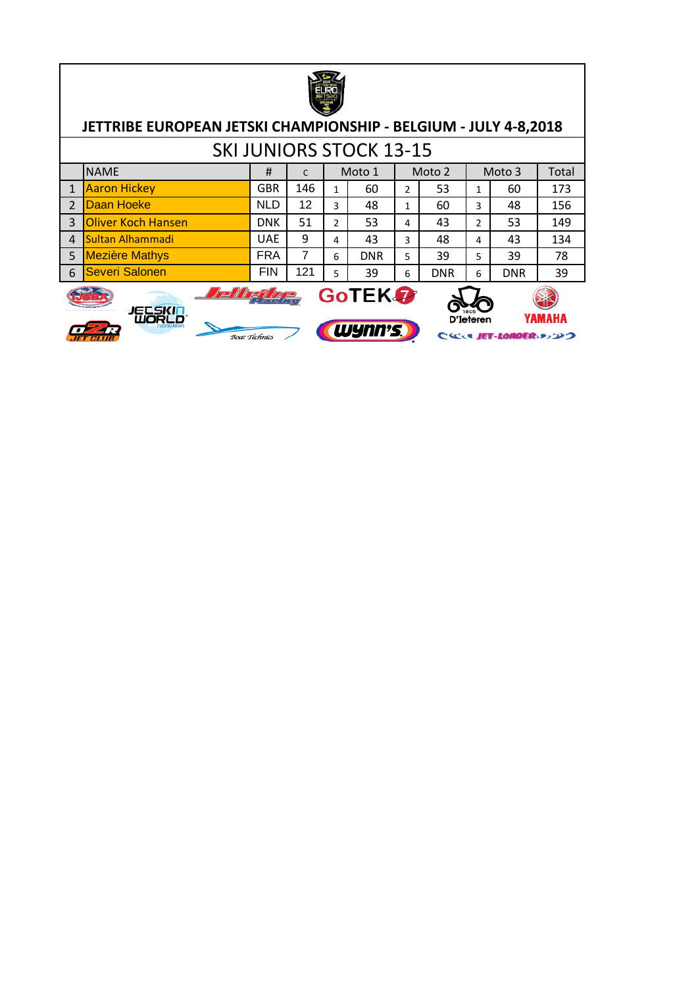

|                |                       |            |     |         | <b>SKI JUNIORS STOCK 13-15</b> |   |            |   |            |       |
|----------------|-----------------------|------------|-----|---------|--------------------------------|---|------------|---|------------|-------|
|                | <b>NAME</b>           | #          |     |         | Moto 1                         |   | Moto 2     |   | Moto 3     | Total |
|                | <b>Aaron Hickey</b>   | <b>GBR</b> | 146 | 60<br>1 |                                | 2 | 53         |   | 60         | 173   |
|                | Daan Hoeke            | <b>NLD</b> | 12  | 3       | 48                             |   | 60<br>1    |   | 48         | 156   |
| 3              | Oliver Koch Hansen    | <b>DNK</b> | 51  |         | 53                             | 4 | 43         | 2 | 53         | 149   |
| $\overline{a}$ | Sultan Alhammadi      | <b>UAE</b> | 9   |         | 43                             | 3 | 48         | 4 | 43         | 134   |
| 5              | <b>Mezière Mathys</b> | <b>FRA</b> | 7   | 6       | <b>DNR</b>                     | 5 | 39         | 5 | 39         | 78    |
| 6              | Severi Salonen        | <b>FIN</b> | 121 | 5       | 39                             | 6 | <b>DNR</b> | 6 | <b>DNR</b> | 39    |



Delle dag GoTEK 7 **FLEKIR** 

Boat Technics



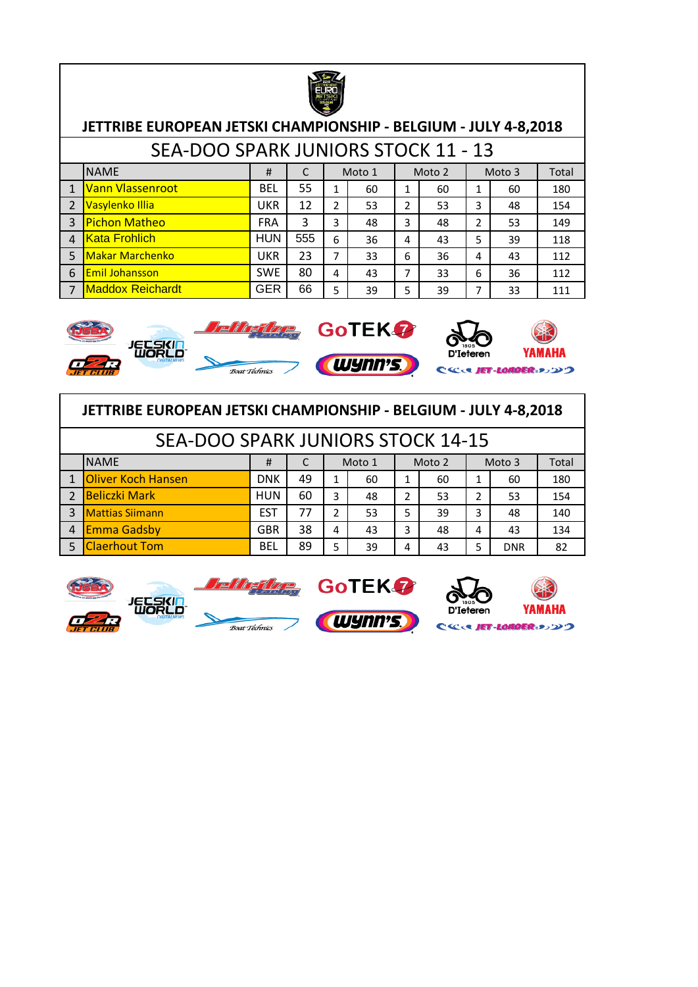

|                | JETTRIBE EUROPEAN JETSKI CHAMPIONSHIP - BELGIUM - JULY 4-8,2018 |            |     |               |        |   |        |   |        |       |  |  |  |
|----------------|-----------------------------------------------------------------|------------|-----|---------------|--------|---|--------|---|--------|-------|--|--|--|
|                | SEA-DOO SPARK JUNIORS STOCK 11 - 13                             |            |     |               |        |   |        |   |        |       |  |  |  |
|                | <b>NAME</b>                                                     | #          | C   |               | Moto 1 |   | Moto 2 |   | Moto 3 | Total |  |  |  |
| $\mathbf{1}$   | Vann Vlassenroot                                                | <b>BEL</b> | 55  | 1             | 60     | 1 | 60     | 1 | 60     | 180   |  |  |  |
| $\overline{2}$ | Vasylenko Illia                                                 | <b>UKR</b> | 12  | $\mathfrak z$ | 53     | 2 | 53     | 3 | 48     | 154   |  |  |  |
| $\overline{3}$ | <b>Pichon Matheo</b>                                            | <b>FRA</b> | 3   | 3             | 48     | 3 | 48     | 2 | 53     | 149   |  |  |  |
| $\Delta$       | <b>Kata Frohlich</b>                                            | <b>HUN</b> | 555 | 6             | 36     | 4 | 43     | 5 | 39     | 118   |  |  |  |
| 5              | <b>Makar Marchenko</b>                                          | <b>UKR</b> | 23  | 7             | 33     | 6 | 36     | 4 | 43     | 112   |  |  |  |
| 6              | <b>Emil Johansson</b>                                           | <b>SWE</b> | 80  | 4             | 43     | 7 | 33     | 6 | 36     | 112   |  |  |  |
| 7              | <b>Maddox Reichardt</b>                                         | <b>GER</b> | 66  | 5             | 39     | 5 | 39     | 7 | 33     | 111   |  |  |  |



|                | JETTRIBE EUROPEAN JETSKI CHAMPIONSHIP - BELGIUM - JULY 4-8,2018                |                                                |    |               |    |                |    |   |            |     |  |  |  |  |  |
|----------------|--------------------------------------------------------------------------------|------------------------------------------------|----|---------------|----|----------------|----|---|------------|-----|--|--|--|--|--|
|                | <b>SEA-DOO SPARK JUNIORS STOCK 14-15</b>                                       |                                                |    |               |    |                |    |   |            |     |  |  |  |  |  |
|                | <b>NAME</b><br>Moto 2<br>Moto 1<br>Moto 3<br>Total<br>#                        |                                                |    |               |    |                |    |   |            |     |  |  |  |  |  |
|                | 1 Oliver Koch Hansen                                                           | <b>DNK</b><br>49<br>180<br>60<br>60<br>60<br>1 |    |               |    |                |    |   |            |     |  |  |  |  |  |
|                | 2 Beliczki Mark                                                                | <b>HUN</b>                                     | 60 | 3             | 48 | $\overline{2}$ | 53 | 2 | 53         | 154 |  |  |  |  |  |
| $\overline{3}$ | <b>Mattias Siimann</b>                                                         | <b>EST</b>                                     | 77 | $\mathfrak z$ | 53 | 5              | 39 | 3 | 48         | 140 |  |  |  |  |  |
|                | <b>Emma Gadsby</b><br>38<br><b>GBR</b><br>3<br>134<br>43<br>43<br>4<br>48<br>4 |                                                |    |               |    |                |    |   |            |     |  |  |  |  |  |
|                | <b>Claerhout Tom</b>                                                           | <b>BEL</b>                                     | 89 | 5             | 39 | 4              | 43 | 5 | <b>DNR</b> | 82  |  |  |  |  |  |

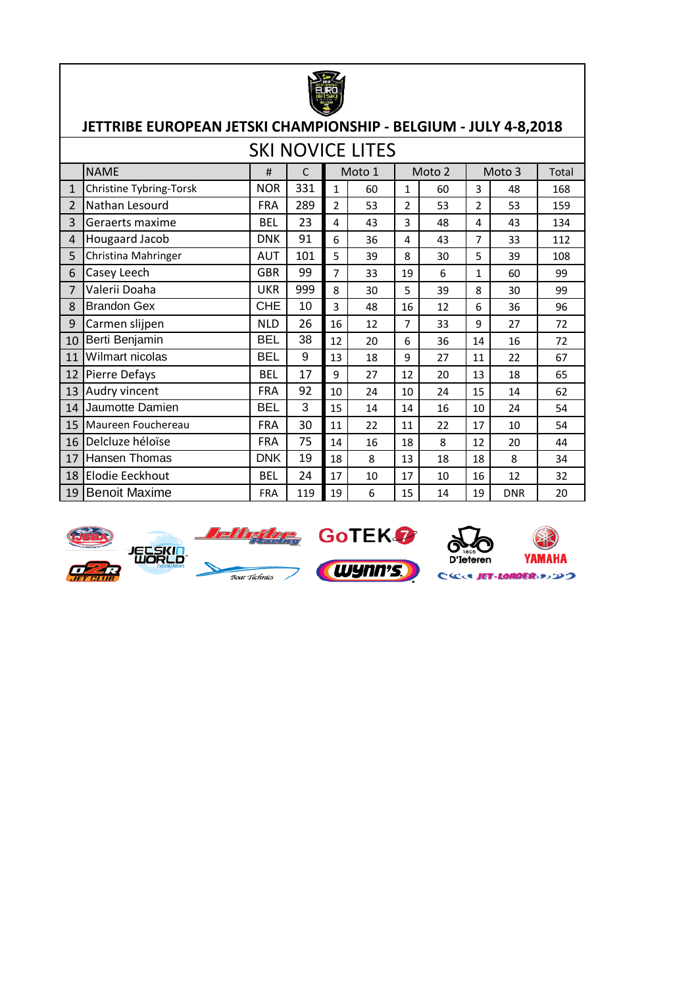|                | JETTRIBE EUROPEAN JETSKI CHAMPIONSHIP - BELGIUM - JULY 4-8,2018 |            |     |                |                         |                |        |                |            |       |
|----------------|-----------------------------------------------------------------|------------|-----|----------------|-------------------------|----------------|--------|----------------|------------|-------|
|                |                                                                 |            |     |                | <b>SKI NOVICE LITES</b> |                |        |                |            |       |
|                | <b>NAME</b>                                                     | #          | C   |                | Moto 1                  |                | Moto 2 |                | Moto 3     | Total |
| $\mathbf{1}$   | Christine Tybring-Torsk                                         | <b>NOR</b> | 331 | $\mathbf{1}$   | 60                      | 1              | 60     | 3              | 48         | 168   |
| $\overline{2}$ | Nathan Lesourd                                                  | <b>FRA</b> | 289 | $\overline{2}$ | 53                      | $\overline{2}$ | 53     | $\overline{2}$ | 53         | 159   |
| 3              | Geraerts maxime                                                 | <b>BEL</b> | 23  | 4              | 43                      | 3              | 48     | 4              | 43         | 134   |
| 4              | Hougaard Jacob                                                  | <b>DNK</b> | 91  | 6              | 36                      | 4              | 43     | 7              | 33         | 112   |
| 5              | Christina Mahringer                                             | <b>AUT</b> | 101 | 5              | 39                      | 8              | 30     | 5              | 39         | 108   |
| 6              | Casey Leech                                                     | <b>GBR</b> | 99  | $\overline{7}$ | 33                      | 19             | 6      | $\mathbf{1}$   | 60         | 99    |
| $\overline{7}$ | Valerii Doaha                                                   | <b>UKR</b> | 999 | 8              | 30                      | 5              | 39     | 8              | 30         | 99    |
| 8              | <b>Brandon Gex</b>                                              | <b>CHE</b> | 10  | 3              | 48                      | 16             | 12     | 6              | 36         | 96    |
| 9              | Carmen slijpen                                                  | <b>NLD</b> | 26  | 16             | 12                      | 7              | 33     | 9              | 27         | 72    |
| 10             | Berti Benjamin                                                  | <b>BEL</b> | 38  | 12             | 20                      | 6              | 36     | 14             | 16         | 72    |
| 11             | Wilmart nicolas                                                 | <b>BEL</b> | 9   | 13             | 18                      | 9              | 27     | 11             | 22         | 67    |
| 12             | Pierre Defays                                                   | <b>BEL</b> | 17  | 9              | 27                      | 12             | 20     | 13             | 18         | 65    |
| 13             | Audry vincent                                                   | <b>FRA</b> | 92  | 10             | 24                      | 10             | 24     | 15             | 14         | 62    |
| 14             | Jaumotte Damien                                                 | <b>BEL</b> | 3   | 15             | 14                      | 14             | 16     | 10             | 24         | 54    |
| 15             | Maureen Fouchereau                                              | <b>FRA</b> | 30  | 11             | 22                      | 11             | 22     | 17             | 10         | 54    |
| 16             | Delcluze héloïse                                                | <b>FRA</b> | 75  | 14             | 16                      | 18             | 8      | 12             | 20         | 44    |
| 17             | <b>Hansen Thomas</b>                                            | <b>DNK</b> | 19  | 18             | 8                       | 13             | 18     | 18             | 8          | 34    |
| 18             | <b>Elodie Eeckhout</b>                                          | <b>BEL</b> | 24  | 17             | 10                      | 17             | 10     | 16             | 12         | 32    |
| 19             | <b>Benoit Maxime</b>                                            | <b>FRA</b> | 119 | 19             | 6                       | 15             | 14     | 19             | <b>DNR</b> | 20    |











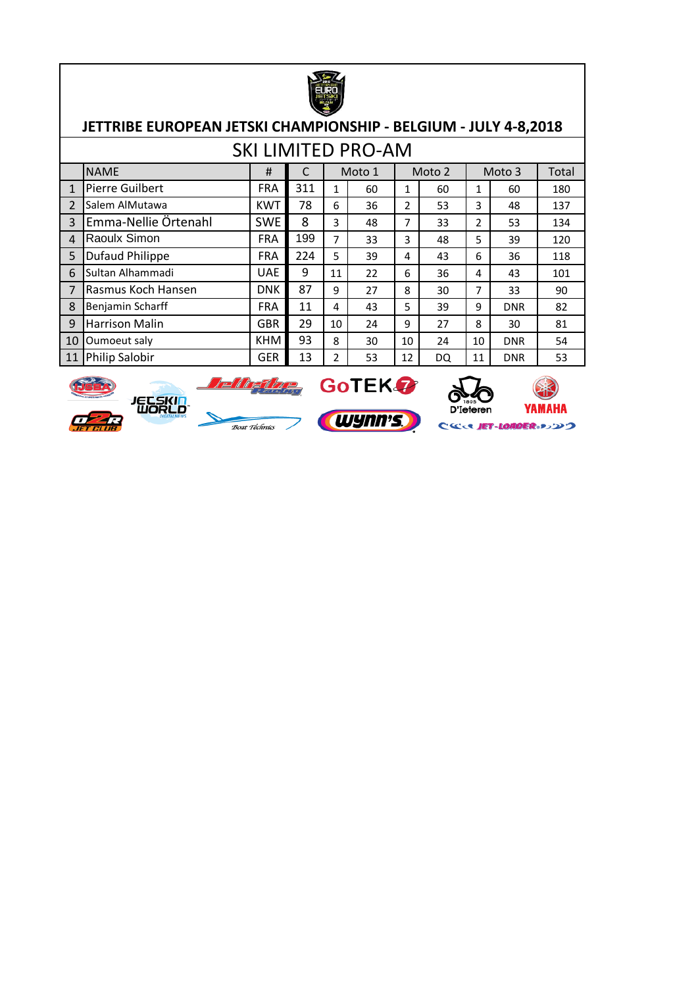

|                            |                        |            |                                |    | <b>SKI LIMITED PRO-AM</b> |    |        |     |            |       |
|----------------------------|------------------------|------------|--------------------------------|----|---------------------------|----|--------|-----|------------|-------|
|                            | <b>NAME</b>            | #          |                                |    | Moto 1                    |    | Moto 2 |     | Moto 3     | Total |
| 1                          | Pierre Guilbert        | <b>FRA</b> | 311<br>60<br>1<br>1<br>60<br>1 |    |                           |    | 60     | 180 |            |       |
| $\overline{2}$             | Salem AlMutawa         | <b>KWT</b> | 78                             | 6  | 36                        | 2  | 53     | 3   | 48         | 137   |
| $\mathbf{3}$               | Emma-Nellie Örtenahl   | <b>SWE</b> | 8                              | 3  | 48                        | 7  | 33     | 2   | 53         | 134   |
| $\boldsymbol{\mathcal{A}}$ | Raoulx Simon           | <b>FRA</b> | 199                            | 7  | 33                        | 3  | 48     | 5   | 39         | 120   |
| 5                          | <b>Dufaud Philippe</b> | <b>FRA</b> | 224                            | 5  | 39                        | 4  | 43     | 6   | 36         | 118   |
| 6                          | Sultan Alhammadi       | <b>UAE</b> | 9                              | 11 | 22                        | 6  | 36     | 4   | 43         | 101   |
| 7                          | Rasmus Koch Hansen     | <b>DNK</b> | 87                             | 9  | 27                        | 8  | 30     | 7   | 33         | 90    |
| 8                          | Benjamin Scharff       | <b>FRA</b> | 11                             | 4  | 43                        | 5  | 39     | 9   | <b>DNR</b> | 82    |
| 9                          | <b>Harrison Malin</b>  | <b>GBR</b> | 29                             | 10 | 24                        | 9  | 27     | 8   | 30         | 81    |
| 10                         | Oumoeut saly           | <b>KHM</b> | 93                             | 8  | 30                        | 10 | 24     | 10  | <b>DNR</b> | 54    |
| 11                         | <b>Philip Salobir</b>  | <b>GER</b> | 13                             | 2  | 53                        | 12 | DQ     | 11  | <b>DNR</b> | 53    |











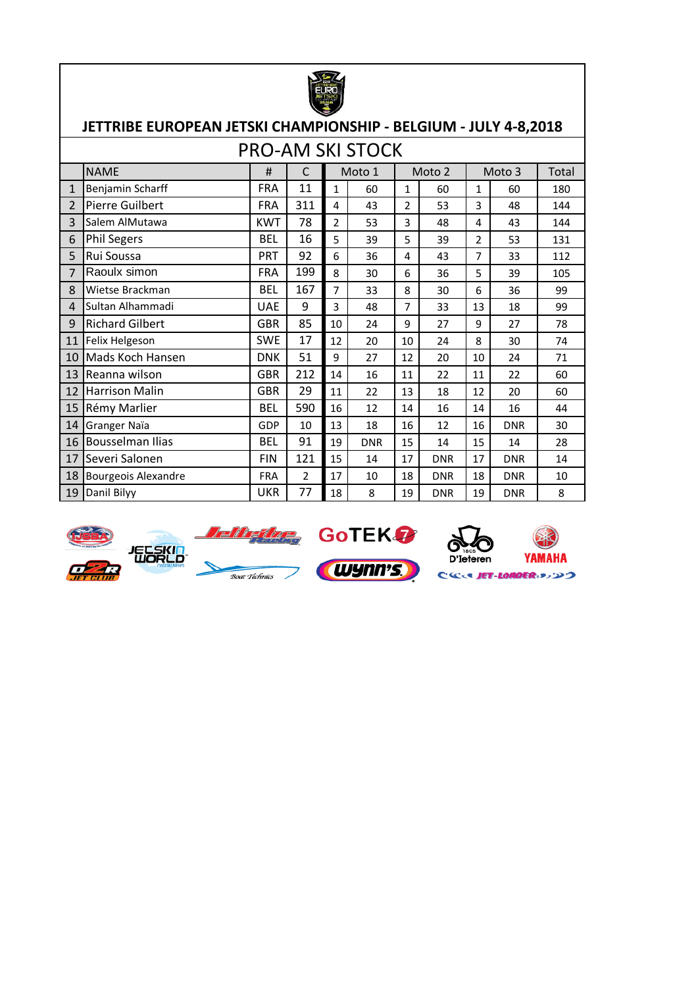|                | JETTRIBE EUROPEAN JETSKI CHAMPIONSHIP - BELGIUM - JULY 4-8,2018                                                      |            |     |                |                         |                |            |                |            |       |  |  |
|----------------|----------------------------------------------------------------------------------------------------------------------|------------|-----|----------------|-------------------------|----------------|------------|----------------|------------|-------|--|--|
|                |                                                                                                                      |            |     |                | <b>PRO-AM SKI STOCK</b> |                |            |                |            |       |  |  |
|                | <b>NAME</b>                                                                                                          | #          | C   |                | Moto 1                  |                | Moto 2     |                | Moto 3     | Total |  |  |
| $\mathbf{1}$   | Benjamin Scharff                                                                                                     | <b>FRA</b> | 11  | $\mathbf{1}$   | 60                      | $\mathbf{1}$   | 60         | 1              | 60         | 180   |  |  |
| $\overline{2}$ | <b>Pierre Guilbert</b>                                                                                               | <b>FRA</b> | 311 | 4              | 43                      | 2              | 53         | 3              | 48         | 144   |  |  |
| 3              | Salem AlMutawa                                                                                                       | <b>KWT</b> | 78  | $\overline{2}$ | 53                      | 3              | 48         | 4              | 43         | 144   |  |  |
| 6              | <b>Phil Segers</b>                                                                                                   | <b>BEL</b> | 16  | 5              | 39                      | 5              | 39         | $\overline{2}$ | 53         | 131   |  |  |
| 5              | Rui Soussa                                                                                                           | <b>PRT</b> | 92  | 6              | 36                      | 4              | 43         | $\overline{7}$ | 33         | 112   |  |  |
| $\overline{7}$ | Raoulx simon                                                                                                         | <b>FRA</b> | 199 | 8              | 30                      | 6              | 36         | 5              | 39         | 105   |  |  |
| 8              | Wietse Brackman                                                                                                      | <b>BEL</b> | 167 | $\overline{7}$ | 33                      | 8              | 30         | 6              | 36         | 99    |  |  |
| 4              | Sultan Alhammadi                                                                                                     | <b>UAE</b> | 9   | 3              | 48                      | $\overline{7}$ | 33         | 13             | 18         | 99    |  |  |
| 9              | <b>Richard Gilbert</b>                                                                                               | <b>GBR</b> | 85  | 10             | 24                      | 9              | 27         | 9              | 27         | 78    |  |  |
| 11             | Felix Helgeson                                                                                                       | <b>SWE</b> | 17  | 12             | 20                      | 10             | 24         | 8              | 30         | 74    |  |  |
| 10             | Mads Koch Hansen                                                                                                     | <b>DNK</b> | 51  | 9              | 27                      | 12             | 20         | 10             | 24         | 71    |  |  |
| 13             | Reanna wilson                                                                                                        | <b>GBR</b> | 212 | 14             | 16                      | 11             | 22         | 11             | 22         | 60    |  |  |
| 12             | <b>Harrison Malin</b>                                                                                                | <b>GBR</b> | 29  | 11             | 22                      | 13             | 18         | 12             | 20         | 60    |  |  |
| 15             | Rémy Marlier                                                                                                         | <b>BEL</b> | 590 | 16             | 12                      | 14             | 16         | 14             | 16         | 44    |  |  |
| 14             | Granger Naïa                                                                                                         | <b>GDP</b> | 10  | 13             | 18                      | 16             | 12         | 16             | <b>DNR</b> | 30    |  |  |
| 16             | <b>Bousselman Ilias</b>                                                                                              | <b>BEL</b> | 91  | 19             | <b>DNR</b>              | 15             | 14         | 15             | 14         | 28    |  |  |
| 17             | Severi Salonen                                                                                                       | <b>FIN</b> | 121 | 15             | 14                      | 17             | <b>DNR</b> | 17             | <b>DNR</b> | 14    |  |  |
| 18             | <b>Bourgeois Alexandre</b><br>$\overline{2}$<br><b>FRA</b><br>17<br>10<br>18<br><b>DNR</b><br>18<br><b>DNR</b><br>10 |            |     |                |                         |                |            |                |            |       |  |  |
| 19             | Danil Bilyy                                                                                                          | <b>UKR</b> | 77  | 18             | 8                       | 19             | <b>DNR</b> | 19             | <b>DNR</b> | 8     |  |  |









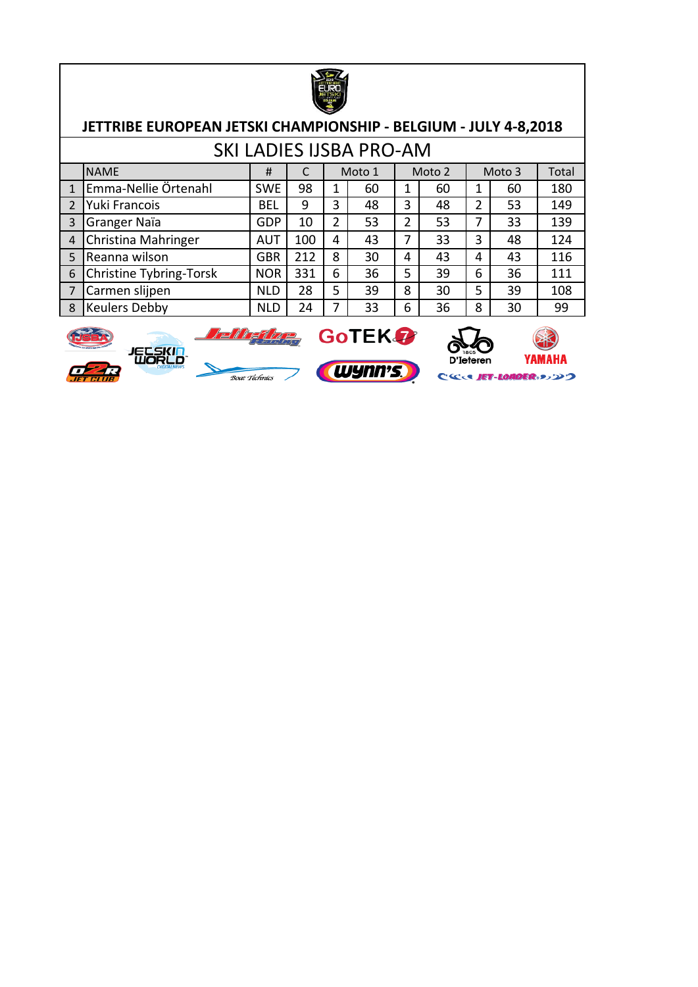

|                |                         |                  |                                 |         | <b>SKI LADIES IJSBA PRO-AM</b> |   |        |     |        |       |
|----------------|-------------------------|------------------|---------------------------------|---------|--------------------------------|---|--------|-----|--------|-------|
|                | <b>NAME</b>             | #                |                                 |         | Moto 1                         |   | Moto 2 |     | Moto 3 | Total |
|                | Emma-Nellie Örtenahl    | <b>SWE</b>       | 98                              | 60<br>1 |                                | 1 | 60     | 1   | 60     | 180   |
| $\overline{2}$ | Yuki Francois           | <b>BEL</b>       | 9                               | 3       | 48                             | 3 | 48     | 2   | 53     | 149   |
| 3              | Granger Naïa            | <b>GDP</b>       | $\overline{2}$<br>53<br>2<br>10 |         | 53                             | 7 | 33     | 139 |        |       |
| $\overline{4}$ | Christina Mahringer     | AUT              | 100                             | 4       | 43                             | 7 | 33     | 3   | 48     | 124   |
| 5              | Reanna wilson           | <b>GBR</b>       | 212                             | 8       | 30                             | 4 | 43     | 4   | 43     | 116   |
| 6              | Christine Tybring-Torsk | <b>NOR</b>       | 331                             | 6       | 36                             | 5 | 39     | 6   | 36     | 111   |
| $\overline{7}$ | Carmen slijpen          | 28<br><b>NLD</b> |                                 | 5       | 39                             | 8 | 30     | 5   | 39     | 108   |
| 8              | <b>Keulers Debby</b>    | <b>NLD</b>       | 24                              |         | 33                             | 6 | 36     | 8   | 30     | 99    |





CCCC JET-LONDER 3320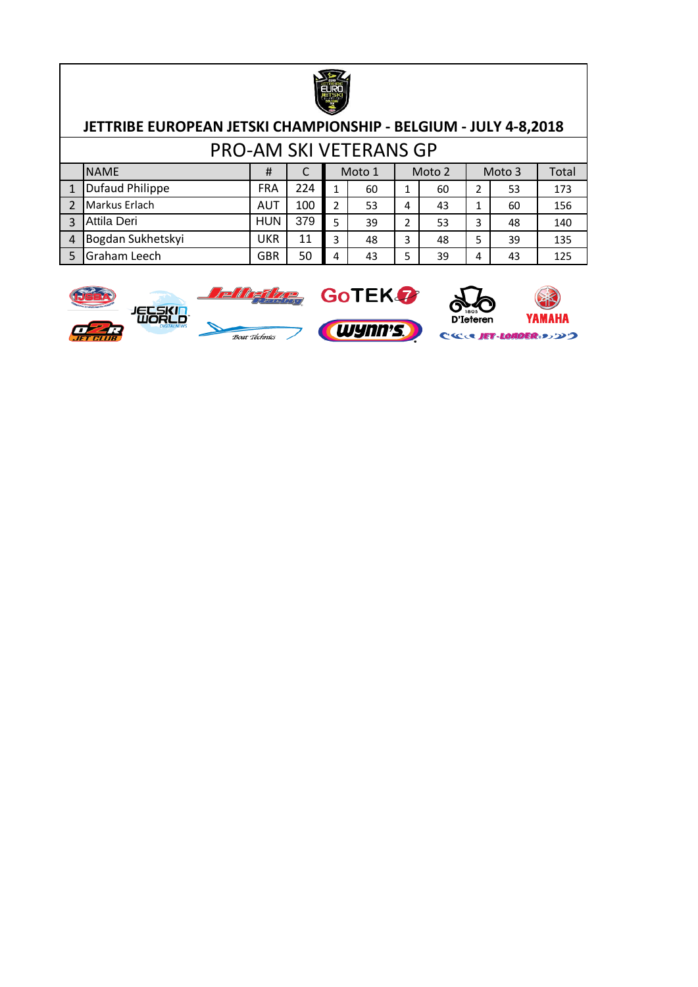

#### **JETTRIBE EUROPEAN JETSKI CHAMPIONSHIP - BELGIUM - JULY 4-8,2018** PRO-AM SKI VETERANS GP

|   |                        |            |     |   | PRO-AM SKI VETERANS GP |   |        |   |        |       |
|---|------------------------|------------|-----|---|------------------------|---|--------|---|--------|-------|
|   | <b>NAME</b>            | #          |     |   | Moto 1                 |   | Moto 2 |   | Moto 3 | Total |
|   | <b>Dufaud Philippe</b> | <b>FRA</b> | 224 |   | 60                     |   | 60     |   | 53     | 173   |
|   | Markus Erlach          | <b>AUT</b> | 100 | າ | 53                     | 4 | 43     |   | 60     | 156   |
|   | Attila Deri            | <b>HUN</b> | 379 | 5 | 39                     | っ | 53     | 3 | 48     | 140   |
| 4 | Bogdan Sukhetskyi      | <b>UKR</b> | 11  | 3 | 48                     | 3 | 48     | 5 | 39     | 135   |
|   | Graham Leech           | GBR        | 50  |   | 43                     | 5 | 39     | 4 | 43     | 125   |







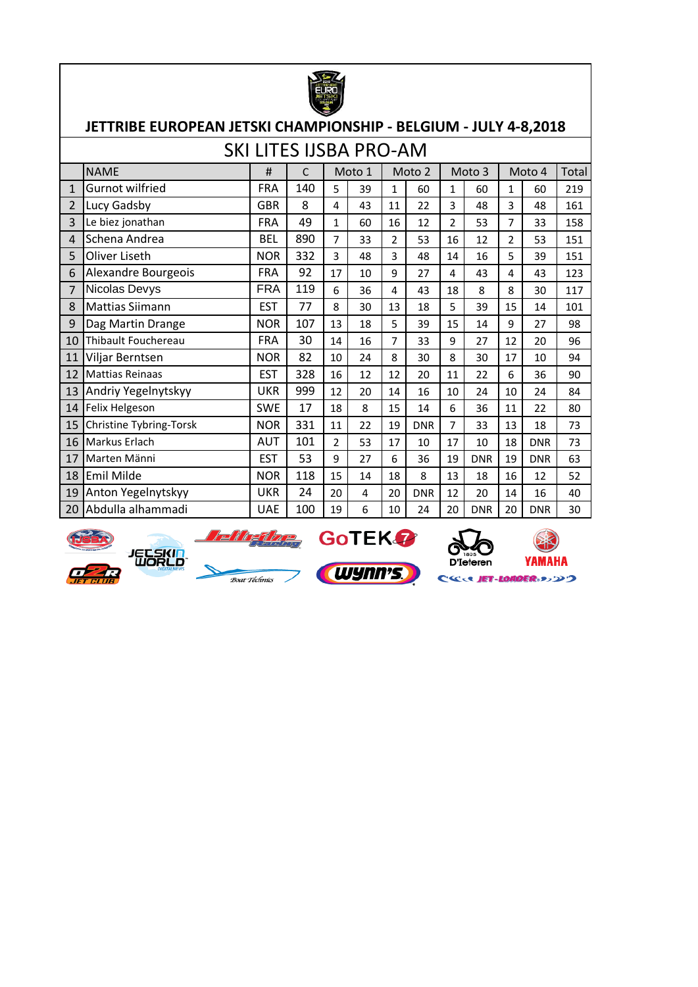

|              |                         | <b>SKI LITES IJSBA PRO-AM</b> |     |                |        |                |            |                |            |                |            |       |
|--------------|-------------------------|-------------------------------|-----|----------------|--------|----------------|------------|----------------|------------|----------------|------------|-------|
|              | <b>NAME</b>             | #                             | C   |                | Moto 1 |                | Moto 2     |                | Moto 3     |                | Moto 4     | Total |
| $\mathbf{1}$ | <b>Gurnot wilfried</b>  | <b>FRA</b>                    | 140 | 5              | 39     | $\mathbf{1}$   | 60         | 1              | 60         | $\mathbf{1}$   | 60         | 219   |
| 2            | Lucy Gadsby             | <b>GBR</b>                    | 8   | 4              | 43     | 11             | 22         | 3              | 48         | 3              | 48         | 161   |
| 3            | Le biez jonathan        | <b>FRA</b>                    | 49  | $\mathbf{1}$   | 60     | 16             | 12         | $\overline{2}$ | 53         | 7              | 33         | 158   |
| 4            | Schena Andrea           | <b>BEL</b>                    | 890 | $\overline{7}$ | 33     | $\overline{2}$ | 53         | 16             | 12         | $\overline{2}$ | 53         | 151   |
| 5            | Oliver Liseth           | <b>NOR</b>                    | 332 | 3              | 48     | 3              | 48         | 14             | 16         | 5              | 39         | 151   |
| 6            | Alexandre Bourgeois     | <b>FRA</b>                    | 92  | 17             | 10     | 9              | 27         | 4              | 43         | 4              | 43         | 123   |
| 7            | Nicolas Devys           | <b>FRA</b>                    | 119 | 6              | 36     | 4              | 43         | 18             | 8          | 8              | 30         | 117   |
| 8            | <b>Mattias Siimann</b>  | <b>EST</b>                    | 77  | 8              | 30     | 13             | 18         | 5              | 39         | 15             | 14         | 101   |
| 9            | Dag Martin Drange       | <b>NOR</b>                    | 107 | 13             | 18     | 5              | 39         | 15             | 14         | 9              | 27         | 98    |
| 10           | Thibault Fouchereau     | <b>FRA</b>                    | 30  | 14             | 16     | 7              | 33         | 9              | 27         | 12             | 20         | 96    |
| 11           | Viljar Berntsen         | <b>NOR</b>                    | 82  | 10             | 24     | 8              | 30         | 8              | 30         | 17             | 10         | 94    |
| 12           | <b>Mattias Reinaas</b>  | <b>EST</b>                    | 328 | 16             | 12     | 12             | 20         | 11             | 22         | 6              | 36         | 90    |
| 13           | Andriy Yegelnytskyy     | <b>UKR</b>                    | 999 | 12             | 20     | 14             | 16         | 10             | 24         | 10             | 24         | 84    |
| 14           | Felix Helgeson          | <b>SWE</b>                    | 17  | 18             | 8      | 15             | 14         | 6              | 36         | 11             | 22         | 80    |
| 15           | Christine Tybring-Torsk | <b>NOR</b>                    | 331 | 11             | 22     | 19             | <b>DNR</b> | $\overline{7}$ | 33         | 13             | 18         | 73    |
| 16           | Markus Erlach           | <b>AUT</b>                    | 101 | $\overline{2}$ | 53     | 17             | 10         | 17             | 10         | 18             | <b>DNR</b> | 73    |
| 17           | Marten Männi            | <b>EST</b>                    | 53  | 9              | 27     | 6              | 36         | 19             | <b>DNR</b> | 19             | <b>DNR</b> | 63    |
| 18           | Emil Milde              | <b>NOR</b>                    | 118 | 15             | 14     | 18             | 8          | 13             | 18         | 16             | 12         | 52    |
| 19           | Anton Yegelnytskyy      | <b>UKR</b>                    | 24  | 20             | 4      | 20             | <b>DNR</b> | 12             | 20         | 14             | 16         | 40    |
| 20           | Abdulla alhammadi       | <b>UAE</b>                    | 100 | 19             | 6      | 10             | 24         | 20             | <b>DNR</b> | 20             | <b>DNR</b> | 30    |











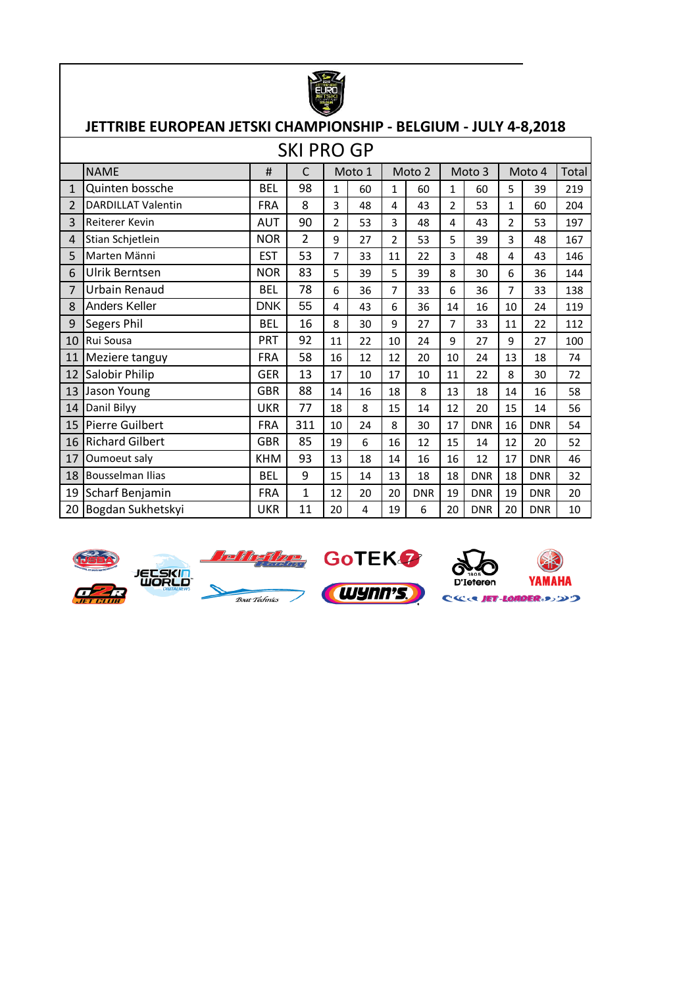

|                |                           |            | <b>SKI PRO GP</b> |                |        |                |            |                |            |                |            |       |
|----------------|---------------------------|------------|-------------------|----------------|--------|----------------|------------|----------------|------------|----------------|------------|-------|
|                | <b>NAME</b>               | #          | C                 |                | Moto 1 |                | Moto 2     |                | Moto 3     |                | Moto 4     | Total |
| $\mathbf{1}$   | Quinten bossche           | <b>BEL</b> | 98                | $\mathbf{1}$   | 60     | $\mathbf{1}$   | 60         | $\mathbf{1}$   | 60         | 5              | 39         | 219   |
| $\overline{2}$ | <b>DARDILLAT Valentin</b> | <b>FRA</b> | 8                 | 3              | 48     | 4              | 43         | $\overline{2}$ | 53         | $\mathbf{1}$   | 60         | 204   |
| 3              | Reiterer Kevin            | <b>AUT</b> | 90                | $\overline{2}$ | 53     | 3              | 48         | 4              | 43         | $\overline{2}$ | 53         | 197   |
| 4              | Stian Schjetlein          | <b>NOR</b> | 2                 | 9              | 27     | $\overline{2}$ | 53         | 5              | 39         | 3              | 48         | 167   |
| 5              | Marten Männi              | <b>EST</b> | 53                | 7              | 33     | 11             | 22         | 3              | 48         | 4              | 43         | 146   |
| 6              | Ulrik Berntsen            | <b>NOR</b> | 83                | 5              | 39     | 5              | 39         | 8              | 30         | 6              | 36         | 144   |
| 7              | Urbain Renaud             | <b>BEL</b> | 78                | 6              | 36     | $\overline{7}$ | 33         | 6              | 36         | 7              | 33         | 138   |
| 8              | Anders Keller             | <b>DNK</b> | 55                | 4              | 43     | 6              | 36         | 14             | 16         | 10             | 24         | 119   |
| 9              | Segers Phil               | <b>BEL</b> | 16                | 8              | 30     | 9              | 27         | $\overline{7}$ | 33         | 11             | 22         | 112   |
| 10             | Rui Sousa                 | <b>PRT</b> | 92                | 11             | 22     | 10             | 24         | 9              | 27         | 9              | 27         | 100   |
| 11             | Meziere tanguy            | <b>FRA</b> | 58                | 16             | 12     | 12             | 20         | 10             | 24         | 13             | 18         | 74    |
| 12             | Salobir Philip            | <b>GER</b> | 13                | 17             | 10     | 17             | 10         | 11             | 22         | 8              | 30         | 72    |
| 13             | Jason Young               | <b>GBR</b> | 88                | 14             | 16     | 18             | 8          | 13             | 18         | 14             | 16         | 58    |
| 14             | Danil Bilyy               | <b>UKR</b> | 77                | 18             | 8      | 15             | 14         | 12             | 20         | 15             | 14         | 56    |
| 15             | <b>Pierre Guilbert</b>    | <b>FRA</b> | 311               | 10             | 24     | 8              | 30         | 17             | <b>DNR</b> | 16             | <b>DNR</b> | 54    |
| 16             | <b>Richard Gilbert</b>    | <b>GBR</b> | 85                | 19             | 6      | 16             | 12         | 15             | 14         | 12             | 20         | 52    |
| 17             | Oumoeut saly              | <b>KHM</b> | 93                | 13             | 18     | 14             | 16         | 16             | 12         | 17             | <b>DNR</b> | 46    |
| 18             | <b>Bousselman Ilias</b>   | <b>BEL</b> | 9                 | 15             | 14     | 13             | 18         | 18             | <b>DNR</b> | 18             | <b>DNR</b> | 32    |
| 19             | Scharf Benjamin           | <b>FRA</b> | $\mathbf 1$       | 12             | 20     | 20             | <b>DNR</b> | 19             | <b>DNR</b> | 19             | <b>DNR</b> | 20    |
| 20             | Bogdan Sukhetskyi         | UKR        | 11                | 20             | 4      | 19             | 6          | 20             | <b>DNR</b> | 20             | <b>DNR</b> | 10    |











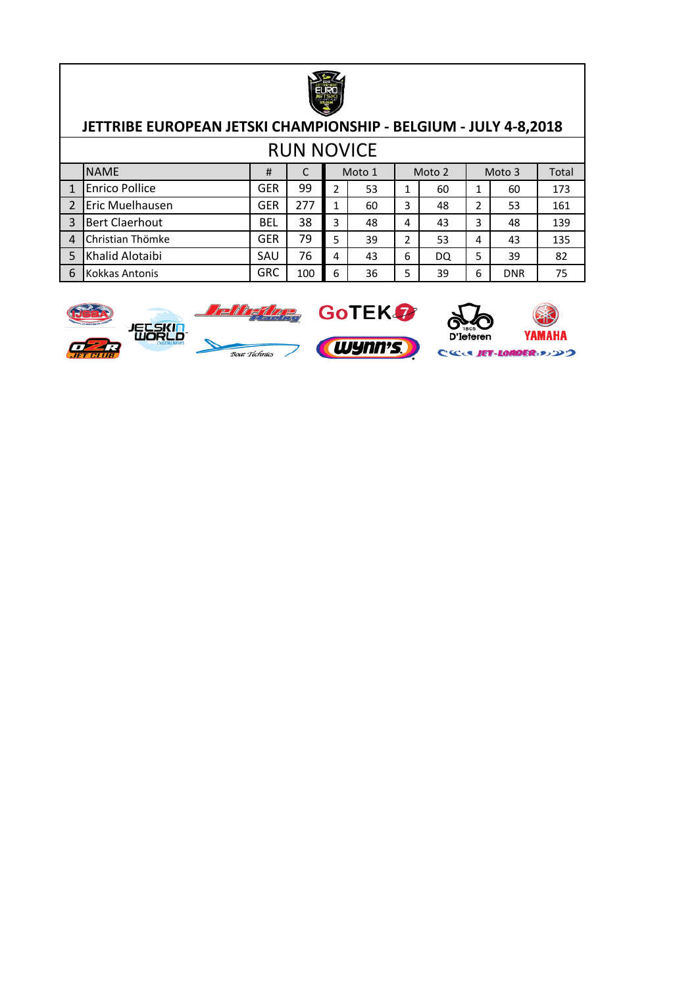

| <b>RUN NOVICE</b> |                       |            |     |   |        |   |    |   |            |     |  |  |        |  |        |       |
|-------------------|-----------------------|------------|-----|---|--------|---|----|---|------------|-----|--|--|--------|--|--------|-------|
|                   | <b>NAME</b>           | #          |     |   | Moto 1 |   |    |   |            |     |  |  | Moto 2 |  | Moto 3 | Total |
|                   | <b>Enrico Pollice</b> | <b>GER</b> | 99  |   | 53     |   | 60 |   | 60         | 173 |  |  |        |  |        |       |
|                   | Eric Muelhausen       | <b>GER</b> | 277 |   | 60     | 3 | 48 | 2 | 53         | 161 |  |  |        |  |        |       |
| $\overline{3}$    | <b>Bert Claerhout</b> | <b>BEL</b> | 38  | 3 | 48     | 4 | 43 | 3 | 48         | 139 |  |  |        |  |        |       |
| $\overline{4}$    | Christian Thömke      | <b>GER</b> | 79  | 5 | 39     | 2 | 53 | 4 | 43         | 135 |  |  |        |  |        |       |
| 5                 | Khalid Alotaibi       | SAU        | 76  | 4 | 43     | 6 | DQ | 5 | 39         | 82  |  |  |        |  |        |       |
| 6                 | Kokkas Antonis        | <b>GRC</b> | 100 | 6 | 36     | 5 | 39 | 6 | <b>DNR</b> | 75  |  |  |        |  |        |       |

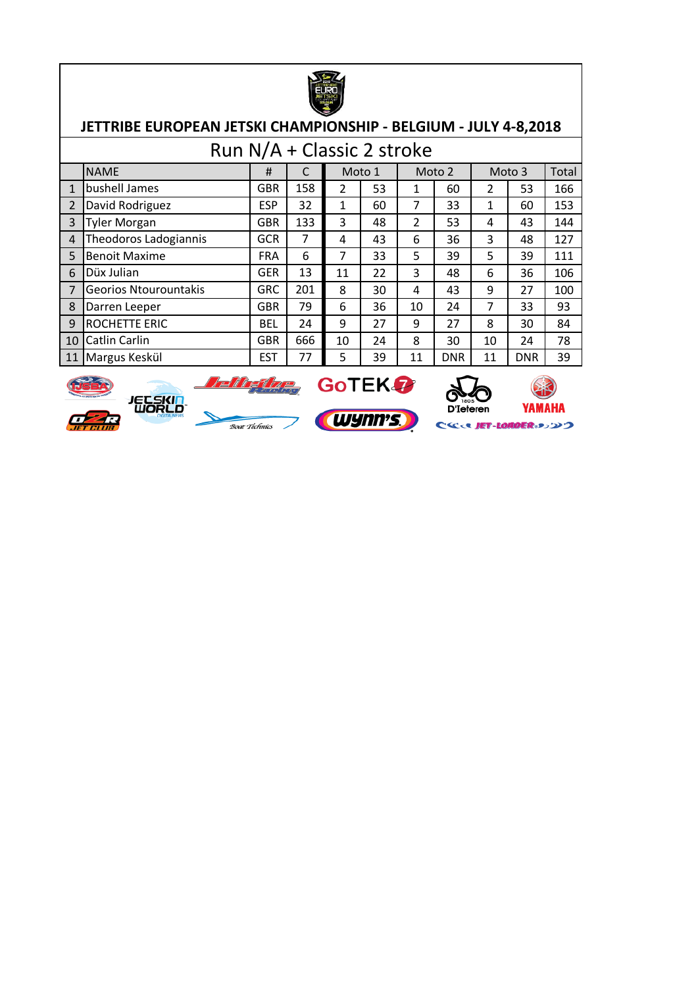

|                | Run N/A + Classic 2 stroke   |            |                            |    |    |               |            |                |            |       |  |  |  |  |
|----------------|------------------------------|------------|----------------------------|----|----|---------------|------------|----------------|------------|-------|--|--|--|--|
|                | <b>NAME</b>                  | #          | Moto 1<br>Moto 2<br>Moto 3 |    |    |               |            |                |            | Total |  |  |  |  |
| $\mathbf{1}$   | bushell James                | <b>GBR</b> | 158                        | 2  | 53 |               | 60         | $\overline{2}$ | 53         | 166   |  |  |  |  |
| $\overline{2}$ | David Rodriguez              | <b>ESP</b> | 32                         | 1  | 60 | 7             | 33         | 1              | 60         | 153   |  |  |  |  |
| $\overline{3}$ | <b>Tyler Morgan</b>          | <b>GBR</b> | 133                        | 3  | 48 | $\mathcal{P}$ | 53         | 4              | 43         | 144   |  |  |  |  |
| $\overline{4}$ | Theodoros Ladogiannis        | <b>GCR</b> | $\overline{7}$             | 4  | 43 | 6             | 36         | 3              | 48         | 127   |  |  |  |  |
| 5              | <b>Benoit Maxime</b>         | <b>FRA</b> | 6                          | 7  | 33 | 5             | 39         | 5              | 39         | 111   |  |  |  |  |
| 6              | Düx Julian                   | <b>GER</b> | 13                         | 11 | 22 | 3             | 48         | 6              | 36         | 106   |  |  |  |  |
| $\overline{7}$ | <b>Georios Ntourountakis</b> | <b>GRC</b> | 201                        | 8  | 30 | 4             | 43         | 9              | 27         | 100   |  |  |  |  |
| 8              | Darren Leeper                | <b>GBR</b> | 79                         | 6  | 36 | 10            | 24         | 7              | 33         | 93    |  |  |  |  |
| 9              | ROCHETTE ERIC                | <b>BEL</b> | 24                         | 9  | 27 | 9             | 27         | 8              | 30         | 84    |  |  |  |  |
| 10             | Catlin Carlin                | <b>GBR</b> | 666                        | 10 | 24 | 8             | 30         | 10             | 24         | 78    |  |  |  |  |
| 11             | Margus Keskül                | <b>EST</b> | 77                         | 5  | 39 | 11            | <b>DNR</b> | 11             | <b>DNR</b> | 39    |  |  |  |  |













CSCOR JET-LOADER 3>>>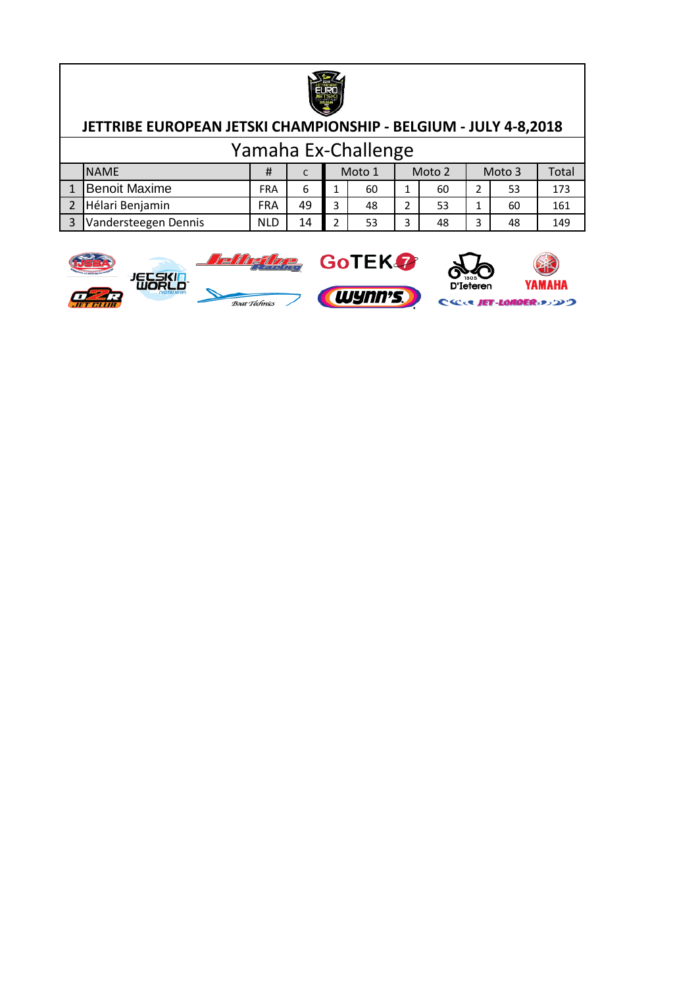

| Yamaha Ex-Challenge |                      |            |    |  |        |   |        |        |    |       |  |  |
|---------------------|----------------------|------------|----|--|--------|---|--------|--------|----|-------|--|--|
|                     | <b>I</b> NAME        | #          |    |  | Moto 1 |   | Moto 2 | Moto 3 |    | Total |  |  |
|                     | <b>Benoit Maxime</b> | <b>FRA</b> |    |  | 60     | 1 | 60     |        | 53 | 173   |  |  |
|                     | Hélari Benjamin      | <b>FRA</b> | 49 |  | 48     |   | 53     |        | 60 | 161   |  |  |
|                     | Vandersteegen Dennis | <b>NLD</b> | 14 |  | 53     | 3 | 48     | 3      | 48 | 149   |  |  |

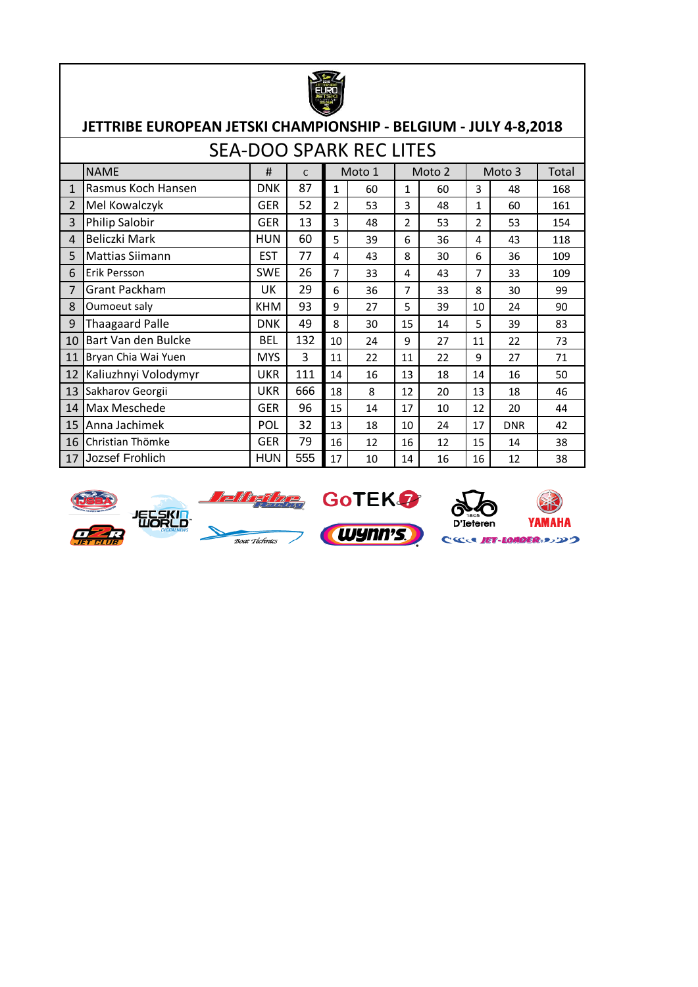

|                | <b>SEA-DOO SPARK REC LITES</b> |            |     |    |        |    |        |                |            |       |  |  |  |  |
|----------------|--------------------------------|------------|-----|----|--------|----|--------|----------------|------------|-------|--|--|--|--|
|                | <b>NAME</b>                    | #          | C   |    | Moto 1 |    | Moto 2 |                | Moto 3     | Total |  |  |  |  |
| 1              | Rasmus Koch Hansen             | <b>DNK</b> | 87  | 1  | 60     | 1  | 60     | 3              | 48         | 168   |  |  |  |  |
| $\overline{2}$ | Mel Kowalczyk                  | GER        | 52  | 2  | 53     | 3  | 48     | 1              | 60         | 161   |  |  |  |  |
| 3              | Philip Salobir                 | GER        | 13  | 3  | 48     | 2  | 53     | 2              | 53         | 154   |  |  |  |  |
| 4              | Beliczki Mark                  | HUN        | 60  | 5  | 39     | 6  | 36     | 4              | 43         | 118   |  |  |  |  |
| 5              | <b>Mattias Siimann</b>         | <b>EST</b> | 77  | 4  | 43     | 8  | 30     | 6              | 36         | 109   |  |  |  |  |
| 6              | Erik Persson                   | <b>SWE</b> | 26  | 7  | 33     | 4  | 43     | $\overline{7}$ | 33         | 109   |  |  |  |  |
| 7              | Grant Packham                  | UK         | 29  | 6  | 36     | 7  | 33     | 8              | 30         | 99    |  |  |  |  |
| 8              | Oumoeut saly                   | <b>KHM</b> | 93  | 9  | 27     | 5  | 39     | 10             | 24         | 90    |  |  |  |  |
| 9              | <b>Thaagaard Palle</b>         | <b>DNK</b> | 49  | 8  | 30     | 15 | 14     | 5              | 39         | 83    |  |  |  |  |
| 10             | Bart Van den Bulcke            | <b>BEL</b> | 132 | 10 | 24     | 9  | 27     | 11             | 22         | 73    |  |  |  |  |
| 11             | Bryan Chia Wai Yuen            | <b>MYS</b> | 3   | 11 | 22     | 11 | 22     | 9              | 27         | 71    |  |  |  |  |
| 12             | Kaliuzhnyi Volodymyr           | <b>UKR</b> | 111 | 14 | 16     | 13 | 18     | 14             | 16         | 50    |  |  |  |  |
| 13             | Sakharov Georgii               | <b>UKR</b> | 666 | 18 | 8      | 12 | 20     | 13             | 18         | 46    |  |  |  |  |
| 14             | Max Meschede                   | <b>GER</b> | 96  | 15 | 14     | 17 | 10     | 12             | 20         | 44    |  |  |  |  |
| 15             | Anna Jachimek                  | <b>POL</b> | 32  | 13 | 18     | 10 | 24     | 17             | <b>DNR</b> | 42    |  |  |  |  |
| 16             | Christian Thömke               | <b>GER</b> | 79  | 16 | 12     | 16 | 12     | 15             | 14         | 38    |  |  |  |  |
| 17             | Jozsef Frohlich                | <b>HUN</b> | 555 | 17 | 10     | 14 | 16     | 16             | 12         | 38    |  |  |  |  |











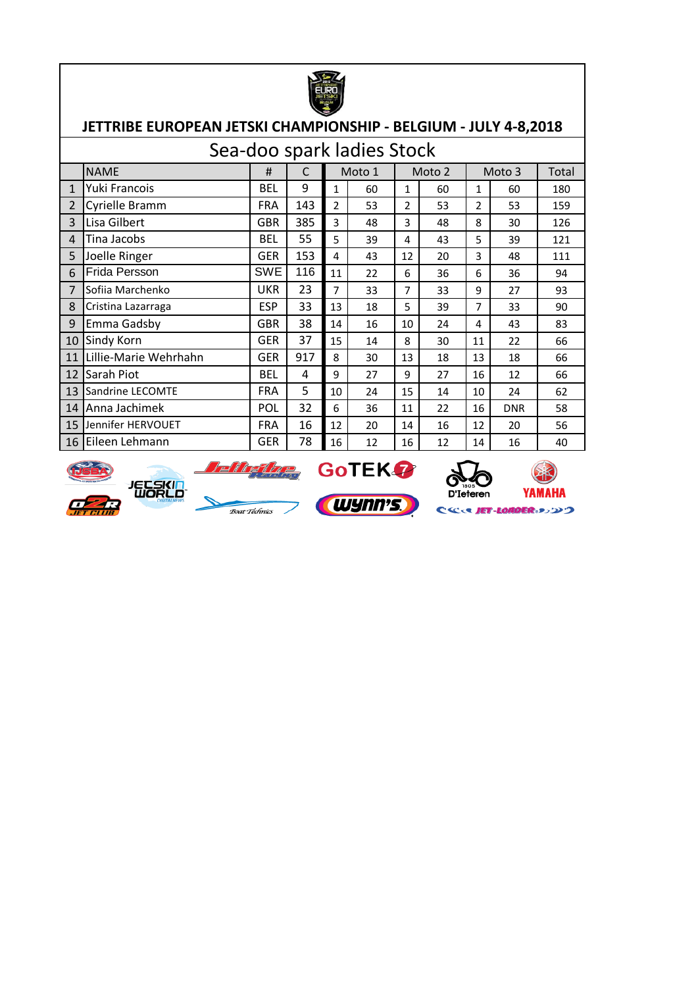

|                | Sea-doo spark ladies Stock |            |     |                |        |    |        |                |            |       |  |  |  |  |
|----------------|----------------------------|------------|-----|----------------|--------|----|--------|----------------|------------|-------|--|--|--|--|
|                | <b>NAME</b>                | #          | C   |                | Moto 1 |    | Moto 2 |                | Moto 3     | Total |  |  |  |  |
| $\mathbf{1}$   | Yuki Francois              | <b>BEL</b> | 9   | 1              | 60     | 1  | 60     | 1              | 60         | 180   |  |  |  |  |
| $\overline{2}$ | Cyrielle Bramm             | <b>FRA</b> | 143 | $\overline{2}$ | 53     | 2  | 53     | $\overline{2}$ | 53         | 159   |  |  |  |  |
| 3              | Lisa Gilbert               | <b>GBR</b> | 385 | 3              | 48     | 3  | 48     | 8              | 30         | 126   |  |  |  |  |
| 4              | Tina Jacobs                | <b>BEL</b> | 55  | 5              | 39     | 4  | 43     | 5              | 39         | 121   |  |  |  |  |
| 5              | Joelle Ringer              | <b>GER</b> | 153 | 4              | 43     | 12 | 20     | 3              | 48         | 111   |  |  |  |  |
| 6              | Frida Persson              | SWE        | 116 | 11             | 22     | 6  | 36     | 6              | 36         | 94    |  |  |  |  |
| 7              | Sofiia Marchenko           | <b>UKR</b> | 23  | 7              | 33     | 7  | 33     | 9              | 27         | 93    |  |  |  |  |
| 8              | Cristina Lazarraga         | <b>ESP</b> | 33  | 13             | 18     | 5  | 39     | 7              | 33         | 90    |  |  |  |  |
| 9              | Emma Gadsby                | <b>GBR</b> | 38  | 14             | 16     | 10 | 24     | 4              | 43         | 83    |  |  |  |  |
| 10             | Sindy Korn                 | <b>GER</b> | 37  | 15             | 14     | 8  | 30     | 11             | 22         | 66    |  |  |  |  |
| 11             | Lillie-Marie Wehrhahn      | <b>GER</b> | 917 | 8              | 30     | 13 | 18     | 13             | 18         | 66    |  |  |  |  |
| 12             | Sarah Piot                 | <b>BEL</b> | 4   | 9              | 27     | 9  | 27     | 16             | 12         | 66    |  |  |  |  |
| 13             | Sandrine LECOMTE           | <b>FRA</b> | 5   | 10             | 24     | 15 | 14     | 10             | 24         | 62    |  |  |  |  |
| 14             | Anna Jachimek              | POL        | 32  | 6              | 36     | 11 | 22     | 16             | <b>DNR</b> | 58    |  |  |  |  |
| 15             | Jennifer HERVOUET          | <b>FRA</b> | 16  | 12             | 20     | 14 | 16     | 12             | 20         | 56    |  |  |  |  |
| 16             | lEileen Lehmann            | <b>GER</b> | 78  | 16             | 12     | 16 | 12     | 14             | 16         | 40    |  |  |  |  |













CCC UET-LOMOER.メンソつ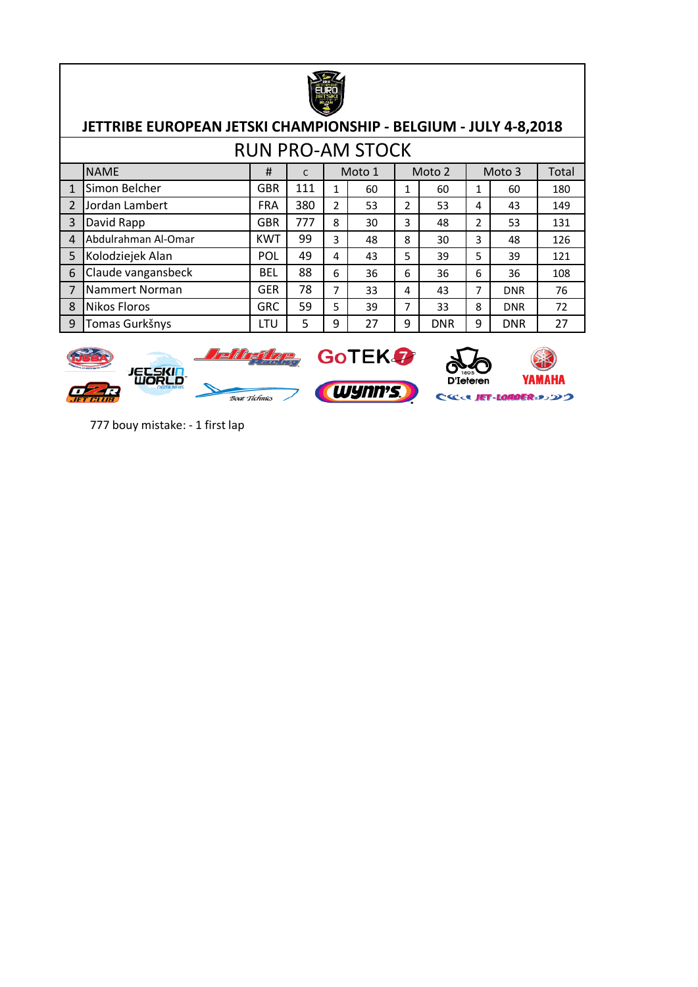

|                | <b>RUN PRO-AM STOCK</b> |            |     |   |        |   |            |        |            |     |  |  |  |  |
|----------------|-------------------------|------------|-----|---|--------|---|------------|--------|------------|-----|--|--|--|--|
|                | <b>NAME</b>             | #          | C   |   | Moto 1 |   | Moto 2     | Moto 3 |            |     |  |  |  |  |
| 1              | Simon Belcher           | <b>GBR</b> | 111 | 1 | 60     | 1 | 60         | 1      | 60         | 180 |  |  |  |  |
| $\overline{2}$ | Jordan Lambert          | <b>FRA</b> | 380 | 2 | 53     | 2 | 53         | 4      | 43         | 149 |  |  |  |  |
| $\overline{3}$ | David Rapp              | <b>GBR</b> | 777 | 8 | 30     | 3 | 48         | 2      | 53         | 131 |  |  |  |  |
| $\overline{4}$ | Abdulrahman Al-Omar     | <b>KWT</b> | 99  | 3 | 48     | 8 | 30         | 3      | 48         | 126 |  |  |  |  |
| 5              | Kolodziejek Alan        | POL        | 49  | 4 | 43     | 5 | 39         | 5      | 39         | 121 |  |  |  |  |
| 6              | Claude vangansbeck      | <b>BEL</b> | 88  | 6 | 36     | 6 | 36         | 6      | 36         | 108 |  |  |  |  |
| $\overline{7}$ | Nammert Norman          | <b>GER</b> | 78  | 7 | 33     | 4 | 43         | 7      | <b>DNR</b> | 76  |  |  |  |  |
| 8              | <b>Nikos Floros</b>     | <b>GRC</b> | 59  | 5 | 39     | 7 | 33         | 8      | <b>DNR</b> | 72  |  |  |  |  |
| 9              | Tomas Gurkšnys          | LTU        | 5   | 9 | 27     | 9 | <b>DNR</b> | 9      | <b>DNR</b> | 27  |  |  |  |  |



777 bouy mistake: - 1 first lap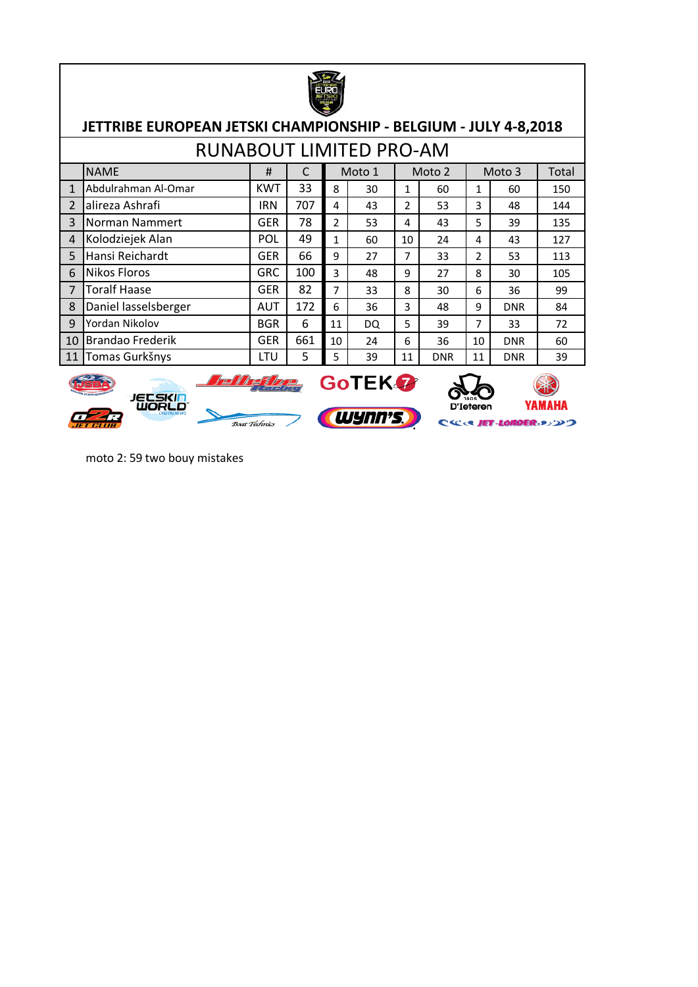

|                | <b>RUNABOUT LIMITED PRO-AM</b> |            |     |    |        |    |            |    |            |       |  |  |  |  |
|----------------|--------------------------------|------------|-----|----|--------|----|------------|----|------------|-------|--|--|--|--|
|                | <b>NAME</b>                    | #          |     |    | Moto 1 |    | Moto 2     |    | Moto 3     | Total |  |  |  |  |
|                | Abdulrahman Al-Omar            | <b>KWT</b> | 33  | 8  | 30     | 1  | 60         | 1  | 60         | 150   |  |  |  |  |
| $\mathfrak{p}$ | alireza Ashrafi                | <b>IRN</b> | 707 | 4  | 43     | 2  | 53         | 3  | 48         | 144   |  |  |  |  |
| 3              | Norman Nammert                 | <b>GER</b> | 78  | 2  | 53     | 4  | 43         | 5  | 39         | 135   |  |  |  |  |
| $\overline{4}$ | Kolodziejek Alan               | POL        | 49  | 1  | 60     | 10 | 24         | 4  | 43         | 127   |  |  |  |  |
| 5              | Hansi Reichardt                | <b>GER</b> | 66  | 9  | 27     | 7  | 33         | 2  | 53         | 113   |  |  |  |  |
| 6              | <b>Nikos Floros</b>            | <b>GRC</b> | 100 | 3  | 48     | 9  | 27         | 8  | 30         | 105   |  |  |  |  |
| 7              | <b>Toralf Haase</b>            | <b>GER</b> | 82  | 7  | 33     | 8  | 30         | 6  | 36         | 99    |  |  |  |  |
| 8              | Daniel lasselsberger           | <b>AUT</b> | 172 | 6  | 36     | 3  | 48         | 9  | <b>DNR</b> | 84    |  |  |  |  |
| 9              | Yordan Nikolov                 | <b>BGR</b> | 6   | 11 | DQ     | 5  | 39         | 7  | 33         | 72    |  |  |  |  |
| 10             | <b>Brandao Frederik</b>        | <b>GER</b> | 661 | 10 | 24     | 6  | 36         | 10 | <b>DNR</b> | 60    |  |  |  |  |
| 11             | Tomas Gurkšnys                 | LTU        | 5   | 5  | 39     | 11 | <b>DNR</b> | 11 | <b>DNR</b> | 39    |  |  |  |  |



moto 2: 59 two bouy mistakes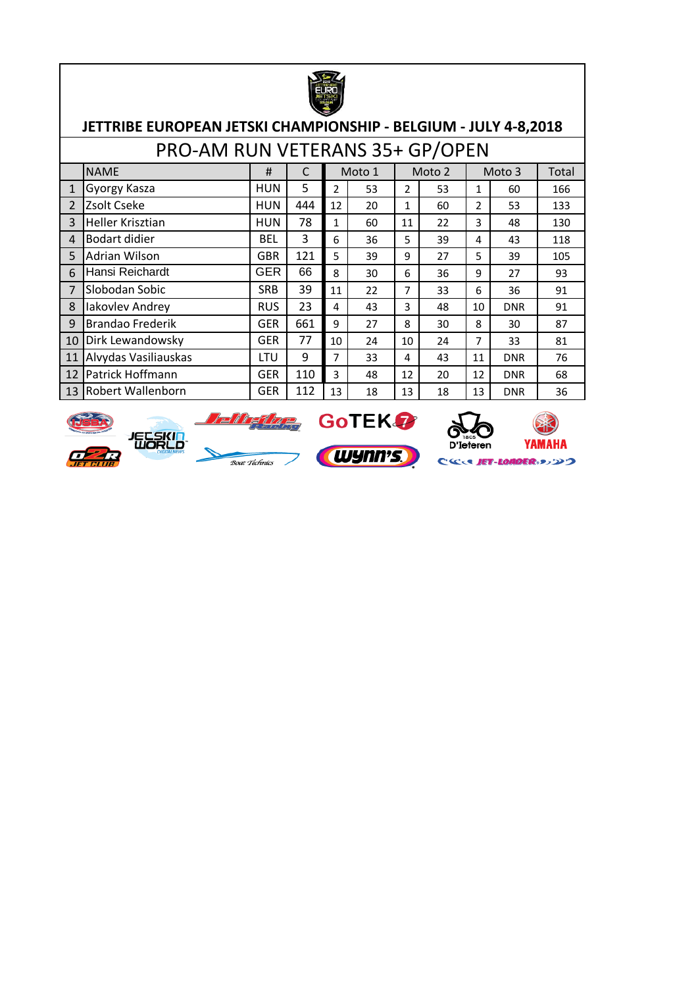

#### **JETTRIBE EUROPEAN JETSKI CHAMPIONSHIP - BELGIUM - JULY 4-8,2018**  $\overline{P}$

|                | PRO-AM RUN VETERANS 35+ GP/OPEN |            |     |    |        |    |        |    |            |       |  |  |  |  |
|----------------|---------------------------------|------------|-----|----|--------|----|--------|----|------------|-------|--|--|--|--|
|                | <b>NAME</b>                     | #          | C   |    | Moto 1 |    | Moto 2 |    | Moto 3     | Total |  |  |  |  |
| $\mathbf{1}$   | Gyorgy Kasza                    | <b>HUN</b> | 5   | 2  | 53     | 2  | 53     | 1  | 60         | 166   |  |  |  |  |
| $\overline{2}$ | Zsolt Cseke                     | <b>HUN</b> | 444 | 12 | 20     | 1  | 60     | 2  | 53         | 133   |  |  |  |  |
| $\mathbf{3}$   | <b>Heller Krisztian</b>         | <b>HUN</b> | 78  | 1  | 60     | 11 | 22     | 3  | 48         | 130   |  |  |  |  |
| $\overline{4}$ | <b>Bodart didier</b>            | <b>BEL</b> | 3   | 6  | 36     | 5  | 39     | 4  | 43         | 118   |  |  |  |  |
| 5              | Adrian Wilson                   | <b>GBR</b> | 121 | 5  | 39     | 9  | 27     | 5  | 39         | 105   |  |  |  |  |
| 6              | Hansi Reichardt                 | <b>GER</b> | 66  | 8  | 30     | 6  | 36     | 9  | 27         | 93    |  |  |  |  |
| 7              | Slobodan Sobic                  | <b>SRB</b> | 39  | 11 | 22     | 7  | 33     | 6  | 36         | 91    |  |  |  |  |
| 8              | Iakovlev Andrey                 | <b>RUS</b> | 23  | 4  | 43     | 3  | 48     | 10 | <b>DNR</b> | 91    |  |  |  |  |
| 9              | <b>Brandao Frederik</b>         | <b>GER</b> | 661 | 9  | 27     | 8  | 30     | 8  | 30         | 87    |  |  |  |  |
| 10             | Dirk Lewandowsky                | <b>GER</b> | 77  | 10 | 24     | 10 | 24     | 7  | 33         | 81    |  |  |  |  |
| 11             | Alvydas Vasiliauskas            | LTU        | 9   | 7  | 33     | 4  | 43     | 11 | <b>DNR</b> | 76    |  |  |  |  |
| 12             | Patrick Hoffmann                | <b>GER</b> | 110 | 3  | 48     | 12 | 20     | 12 | <b>DNR</b> | 68    |  |  |  |  |
| 13             | Robert Wallenborn               | <b>GER</b> | 112 | 13 | 18     | 13 | 18     | 13 | <b>DNR</b> | 36    |  |  |  |  |











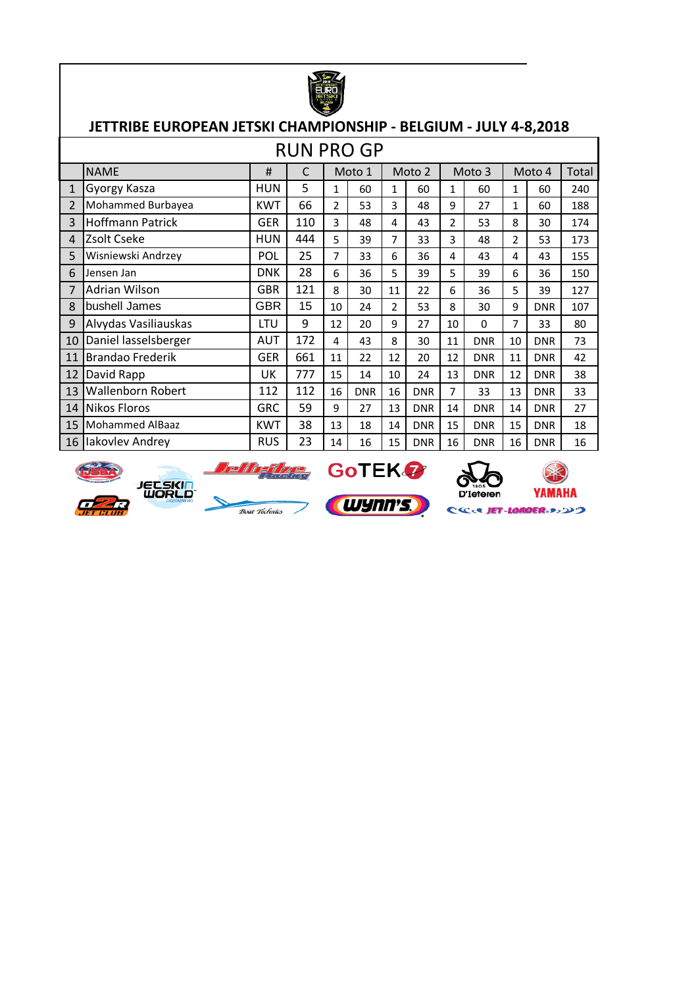

|                | <b>RUN PRO GP</b>        |            |     |                |            |    |            |    |            |    |            |       |  |  |
|----------------|--------------------------|------------|-----|----------------|------------|----|------------|----|------------|----|------------|-------|--|--|
|                | <b>NAME</b>              | #          | C   |                | Moto 1     |    | Moto 2     |    | Moto 3     |    | Moto 4     | Total |  |  |
| 1              | Gyorgy Kasza             | <b>HUN</b> | 5   | $\mathbf{1}$   | 60         | 1  | 60         | 1  | 60         | 1  | 60         | 240   |  |  |
| $\overline{2}$ | Mohammed Burbayea        | <b>KWT</b> | 66  | $\overline{2}$ | 53         | 3  | 48         | 9  | 27         | 1  | 60         | 188   |  |  |
| 3              | <b>Hoffmann Patrick</b>  | GER        | 110 | 3              | 48         | 4  | 43         | 2  | 53         | 8  | 30         | 174   |  |  |
| 4              | Zsolt Cseke              | <b>HUN</b> | 444 | 5              | 39         | 7  | 33         | 3  | 48         | 2  | 53         | 173   |  |  |
| 5              | Wisniewski Andrzey       | POL        | 25  | 7              | 33         | 6  | 36         | 4  | 43         | 4  | 43         | 155   |  |  |
| 6              | Jensen Jan               | <b>DNK</b> | 28  | 6              | 36         | 5  | 39         | 5  | 39         | 6  | 36         | 150   |  |  |
| 7              | Adrian Wilson            | <b>GBR</b> | 121 | 8              | 30         | 11 | 22         | 6  | 36         | 5  | 39         | 127   |  |  |
| 8              | bushell James            | <b>GBR</b> | 15  | 10             | 24         | 2  | 53         | 8  | 30         | 9  | <b>DNR</b> | 107   |  |  |
| 9              | Alvydas Vasiliauskas     | LTU        | 9   | 12             | 20         | 9  | 27         | 10 | $\Omega$   | 7  | 33         | 80    |  |  |
| 10             | Daniel lasselsberger     | AUT        | 172 | 4              | 43         | 8  | 30         | 11 | <b>DNR</b> | 10 | <b>DNR</b> | 73    |  |  |
| 11             | <b>Brandao Frederik</b>  | <b>GER</b> | 661 | 11             | 22         | 12 | 20         | 12 | <b>DNR</b> | 11 | <b>DNR</b> | 42    |  |  |
| 12             | David Rapp               | UK         | 777 | 15             | 14         | 10 | 24         | 13 | <b>DNR</b> | 12 | <b>DNR</b> | 38    |  |  |
| 13             | <b>Wallenborn Robert</b> | 112        | 112 | 16             | <b>DNR</b> | 16 | <b>DNR</b> | 7  | 33         | 13 | <b>DNR</b> | 33    |  |  |
| 14             | <b>Nikos Floros</b>      | <b>GRC</b> | 59  | 9              | 27         | 13 | <b>DNR</b> | 14 | <b>DNR</b> | 14 | <b>DNR</b> | 27    |  |  |
| 15             | Mohammed AlBaaz          | <b>KWT</b> | 38  | 13             | 18         | 14 | <b>DNR</b> | 15 | <b>DNR</b> | 15 | <b>DNR</b> | 18    |  |  |
| 16             | Iakovlev Andrey          | <b>RUS</b> | 23  | 14             | 16         | 15 | <b>DNR</b> | 16 | <b>DNR</b> | 16 | <b>DNR</b> | 16    |  |  |



**JECSKIN** 

 $\frac{1}{100}$  *Boat Téchnics* 

**Deffigure** GoTEK 7





ET-LOADER・シンウ Ċ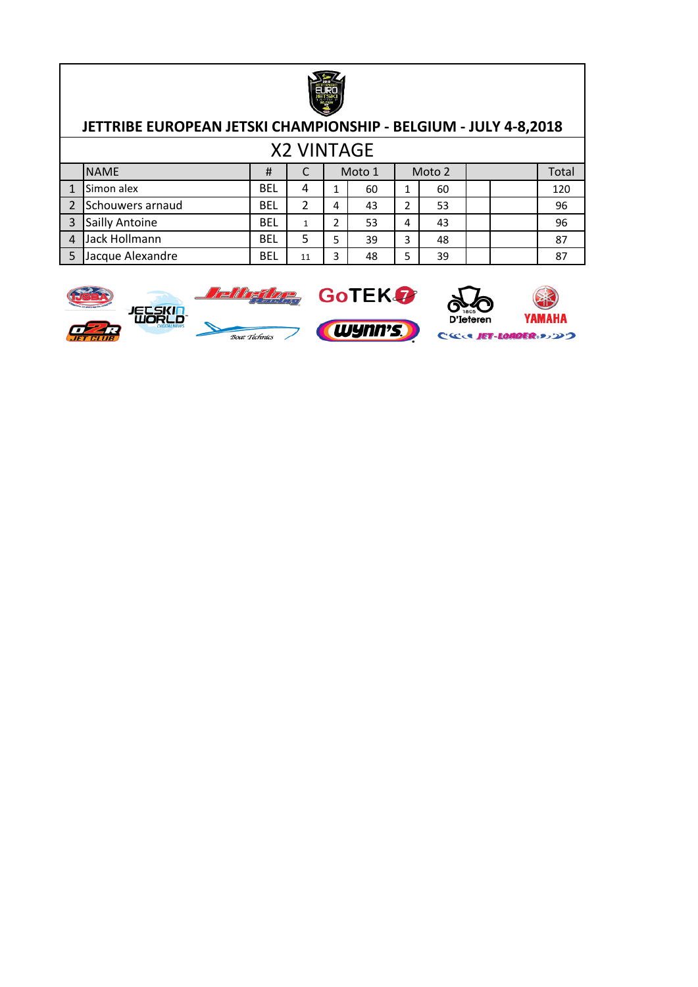

| <b>X2 VINTAGE</b> |                  |            |    |   |        |   |    |  |        |     |  |       |  |  |
|-------------------|------------------|------------|----|---|--------|---|----|--|--------|-----|--|-------|--|--|
|                   | <b>NAME</b>      | #          |    |   | Moto 1 |   |    |  | Moto 2 |     |  | Total |  |  |
|                   | Simon alex       | <b>BEL</b> | 4  |   | 60     | 1 | 60 |  |        | 120 |  |       |  |  |
|                   | Schouwers arnaud | <b>BEL</b> |    | 4 | 43     |   | 53 |  |        | 96  |  |       |  |  |
| 3                 | Sailly Antoine   | <b>BEL</b> |    |   | 53     | 4 | 43 |  |        | 96  |  |       |  |  |
| 4                 | Jack Hollmann    | <b>BEL</b> |    |   | 39     | 3 | 48 |  |        | 87  |  |       |  |  |
|                   | Jacque Alexandre | <b>BEL</b> | 11 |   | 48     | 5 | 39 |  |        | 87  |  |       |  |  |





CCCC JET-LONDER 35220